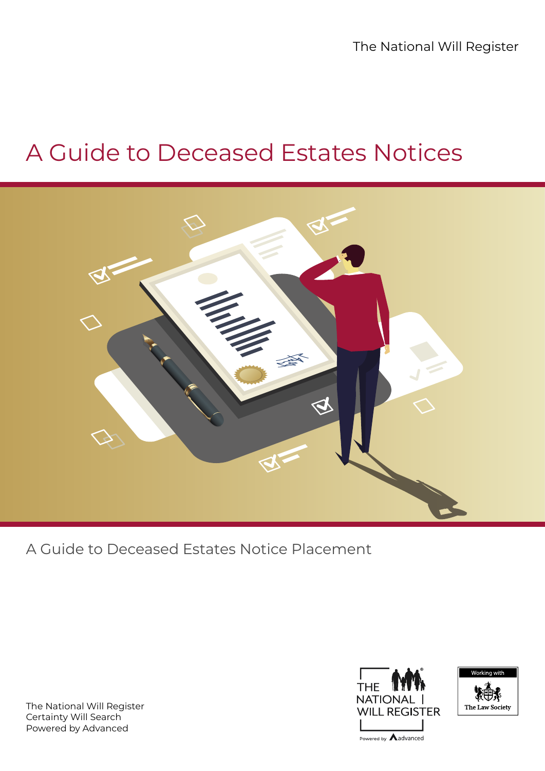The National Will Register

## A Guide to Deceased Estates Notices



A Guide to Deceased Estates Notice Placement

The National Will Register Certainty Will Search Powered by Advanced





Powered by **A**advanced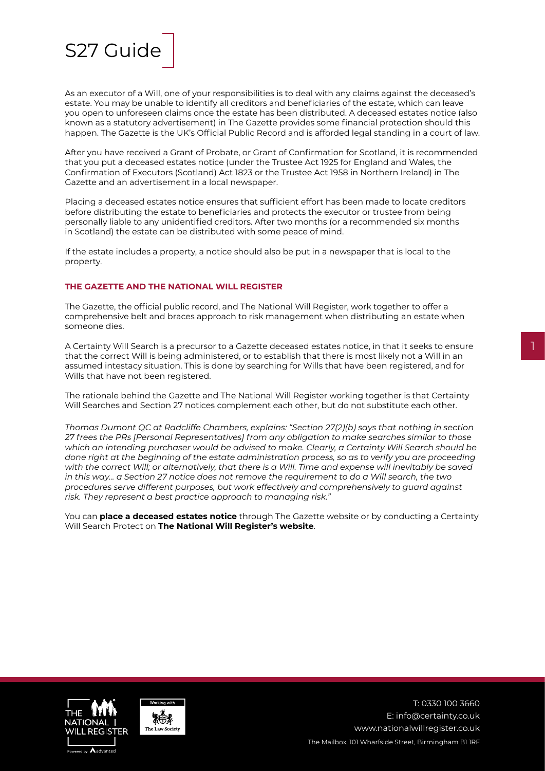

As an executor of a Will, one of your responsibilities is to deal with any claims against the deceased's estate. You may be unable to identify all creditors and beneficiaries of the estate, which can leave you open to unforeseen claims once the estate has been distributed. A deceased estates notice (also known as a statutory advertisement) in The Gazette provides some financial protection should this happen. The Gazette is the UK's Official Public Record and is afforded legal standing in a court of law.

After you have received a Grant of Probate, or Grant of Confirmation for Scotland, it is recommended that you put a deceased estates notice (under the Trustee Act 1925 for England and Wales, the Confirmation of Executors (Scotland) Act 1823 or the Trustee Act 1958 in Northern Ireland) in The Gazette and an advertisement in a local newspaper.

Placing a deceased estates notice ensures that sufficient effort has been made to locate creditors before distributing the estate to beneficiaries and protects the executor or trustee from being personally liable to any unidentified creditors. After two months (or a recommended six months in Scotland) the estate can be distributed with some peace of mind.

If the estate includes a property, a notice should also be put in a newspaper that is local to the property.

## **THE GAZETTE AND THE NATIONAL WILL REGISTER**

The Gazette, the official public record, and The National Will Register, work together to offer a comprehensive belt and braces approach to risk management when distributing an estate when someone dies.

A Certainty Will Search is a precursor to a Gazette deceased estates notice, in that it seeks to ensure that the correct Will is being administered, or to establish that there is most likely not a Will in an assumed intestacy situation. This is done by searching for Wills that have been registered, and for Wills that have not been registered.

The rationale behind the Gazette and The National Will Register working together is that Certainty Will Searches and Section 27 notices complement each other, but do not substitute each other.

*Thomas Dumont QC at Radcliffe Chambers, explains: "Section 27(2)(b) says that nothing in section 27 frees the PRs [Personal Representatives] from any obligation to make searches similar to those which an intending purchaser would be advised to make. Clearly, a Certainty Will Search should be done right at the beginning of the estate administration process, so as to verify you are proceeding with the correct Will; or alternatively, that there is a Will. Time and expense will inevitably be saved in this way… a Section 27 notice does not remove the requirement to do a Will search, the two procedures serve different purposes, but work effectively and comprehensively to guard against risk. They represent a best practice approach to managing risk."*

You can **[place a deceased estates notice](https://www.thegazette.co.uk/wills-and-probate/place-a-deceased-estates-notice?utm_source=NLJ&utm_medium=email&utm_campaign=deceased_estates21&utm_content=NLJ)** through The Gazette website or by conducting a Certainty Will Search Protect on **[The National Will Register's website](https://www.nationalwillregister.co.uk/search-for-a-will/)**.





T: 0330 100 3660 [E: info@certainty.co.uk](mailto:%20info%40certainty.co.uk%20?subject=) [www.nationalwillregister.co.uk](http://www.nationalwillregister.co.uk) The Mailbox, 101 Wharfside Street, Birmingham B1 1RF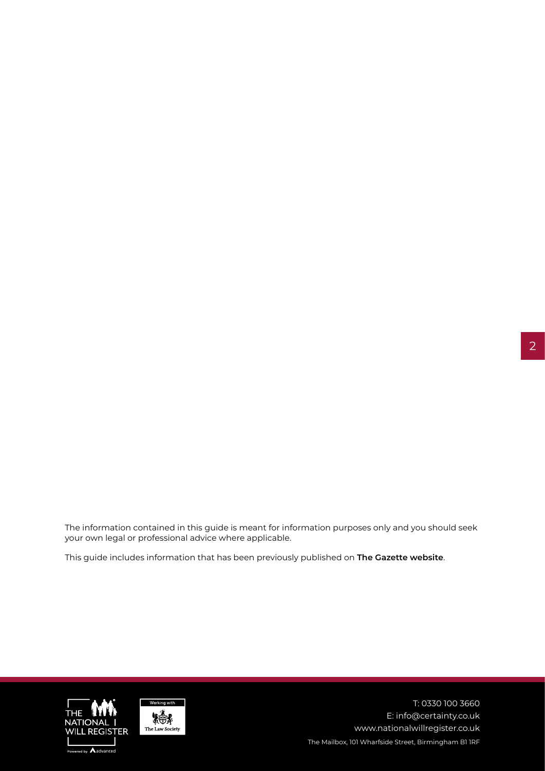2

The information contained in this guide is meant for information purposes only and you should seek your own legal or professional advice where applicable.

This guide includes information that has been previously published on **[The Gazette website](http://www.thegazette.co.uk/wills-and-probate)**.





T: 0330 100 3660 [E: info@certainty.co.uk](mailto:%20info%40certainty.co.uk%20?subject=) [www.nationalwillregister.co.uk](http://www.nationalwillregister.co.uk) The Mailbox, 101 Wharfside Street, Birmingham B1 1RF